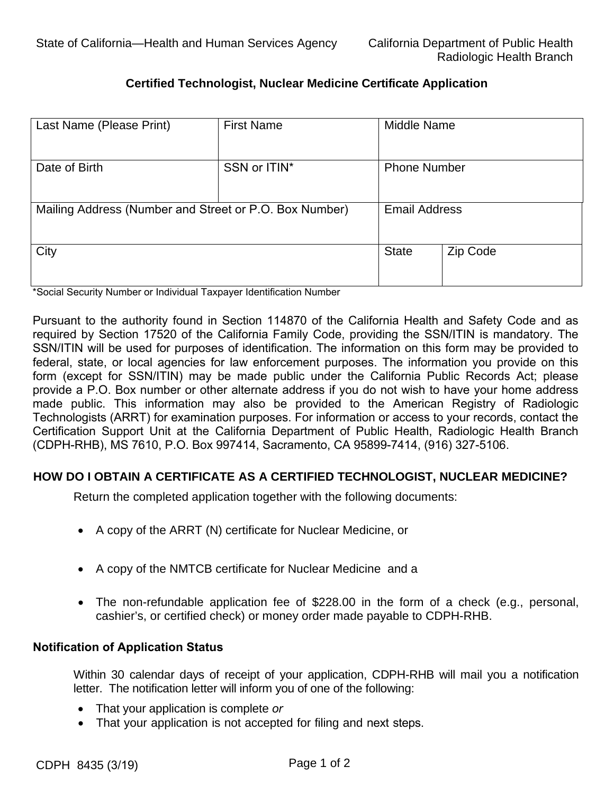# **Certified Technologist, Nuclear Medicine Certificate Application**

| Last Name (Please Print)                               | <b>First Name</b> | Middle Name          |          |
|--------------------------------------------------------|-------------------|----------------------|----------|
| Date of Birth                                          | SSN or ITIN*      | <b>Phone Number</b>  |          |
| Mailing Address (Number and Street or P.O. Box Number) |                   | <b>Email Address</b> |          |
| City                                                   |                   | <b>State</b>         | Zip Code |

\*Social Security Number or Individual Taxpayer Identification Number

 Pursuant to the authority found in Section 114870 of the California Health and Safety Code and as required by Section 17520 of the California Family Code, providing the SSN/ITIN is mandatory. The SSN/ITIN will be used for purposes of identification. The information on this form may be provided to federal, state, or local agencies for law enforcement purposes. The information you provide on this form (except for SSN/ITIN) may be made public under the California Public Records Act; please  Certification Support Unit at the California Department of Public Health, Radiologic Health Branch provide a P.O. Box number or other alternate address if you do not wish to have your home address made public. This information may also be provided to the American Registry of Radiologic Technologists (ARRT) for examination purposes. For information or access to your records, contact the (CDPH-RHB), MS 7610, P.O. Box 997414, Sacramento, CA 95899-7414, (916) 327-5106.

## **HOW DO I OBTAIN A CERTIFICATE AS A CERTIFIED TECHNOLOGIST, NUCLEAR MEDICINE?**

 Return the completed application together with the following documents:

- • A copy of the ARRT (N) certificate for Nuclear Medicine, or
- • A copy of the NMTCB certificate for Nuclear Medicine and a
- The non-refundable application fee of \$228.00 in the form of a check (e.g., personal, cashier's, or certified check) or money order made payable to CDPH-RHB.

### **Notification of Application Status**

Here The notifienties letter will inform you of one of the follow letter. The notification letter will inform you of one of the following: Within 30 calendar days of receipt of your application, CDPH-RHB will mail you a notification

- • That your application is complete *or*
- That your application is not accepted for filing and next steps.